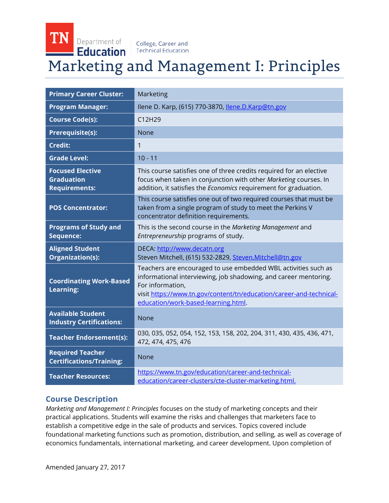TN Department of **Education** 

College, Career and **Technical Education** 

# Marketing and Management I: Principles

| <b>Primary Career Cluster:</b>                                       | Marketing                                                                                                                                                                                                                                                            |
|----------------------------------------------------------------------|----------------------------------------------------------------------------------------------------------------------------------------------------------------------------------------------------------------------------------------------------------------------|
| <b>Program Manager:</b>                                              | llene D. Karp, (615) 770-3870, llene.D.Karp@tn.gov                                                                                                                                                                                                                   |
| <b>Course Code(s):</b>                                               | C12H29                                                                                                                                                                                                                                                               |
| <b>Prerequisite(s):</b>                                              | <b>None</b>                                                                                                                                                                                                                                                          |
| <b>Credit:</b>                                                       | 1                                                                                                                                                                                                                                                                    |
| <b>Grade Level:</b>                                                  | $10 - 11$                                                                                                                                                                                                                                                            |
| <b>Focused Elective</b><br><b>Graduation</b><br><b>Requirements:</b> | This course satisfies one of three credits required for an elective<br>focus when taken in conjunction with other Marketing courses. In<br>addition, it satisfies the Economics requirement for graduation.                                                          |
| <b>POS Concentrator:</b>                                             | This course satisfies one out of two required courses that must be<br>taken from a single program of study to meet the Perkins V<br>concentrator definition requirements.                                                                                            |
| <b>Programs of Study and</b><br>Sequence:                            | This is the second course in the Marketing Management and<br>Entrepreneurship programs of study.                                                                                                                                                                     |
| <b>Aligned Student</b><br>Organization(s):                           | DECA: http://www.decatn.org<br>Steven Mitchell, (615) 532-2829, Steven.Mitchell@tn.gov                                                                                                                                                                               |
| <b>Coordinating Work-Based</b><br>Learning:                          | Teachers are encouraged to use embedded WBL activities such as<br>informational interviewing, job shadowing, and career mentoring.<br>For information,<br>visit https://www.tn.gov/content/tn/education/career-and-technical-<br>education/work-based-learning.html. |
| <b>Available Student</b><br><b>Industry Certifications:</b>          | None                                                                                                                                                                                                                                                                 |
| <b>Teacher Endorsement(s):</b>                                       | 030, 035, 052, 054, 152, 153, 158, 202, 204, 311, 430, 435, 436, 471,<br>472, 474, 475, 476                                                                                                                                                                          |
| <b>Required Teacher</b><br><b>Certifications/Training:</b>           | <b>None</b>                                                                                                                                                                                                                                                          |
| <b>Teacher Resources:</b>                                            | https://www.tn.gov/education/career-and-technical-<br>education/career-clusters/cte-cluster-marketing.html.                                                                                                                                                          |

## **Course Description**

*Marketing and Management I: Principles* focuses on the study of marketing concepts and their practical applications. Students will examine the risks and challenges that marketers face to establish a competitive edge in the sale of products and services. Topics covered include foundational marketing functions such as promotion, distribution, and selling, as well as coverage of economics fundamentals, international marketing, and career development. Upon completion of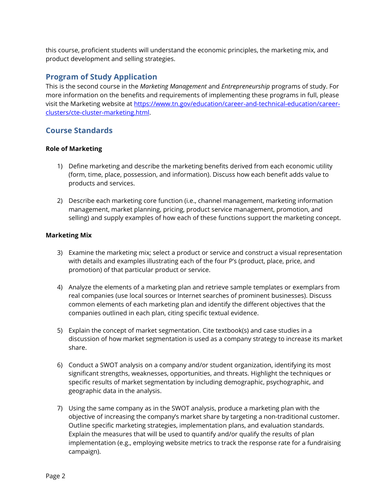this course, proficient students will understand the economic principles, the marketing mix, and product development and selling strategies.

# **Program of Study Application**

This is the second course in the *Marketing Management* and *Entrepreneurship* programs of study. For more information on the benefits and requirements of implementing these programs in full, please visit the Marketing website at [https://www.tn.gov/education/career-and-technical-education/career](https://www.tn.gov/education/career-and-technical-education/career-clusters/cte-cluster-marketing.html)[clusters/cte-cluster-marketing.html.](https://www.tn.gov/education/career-and-technical-education/career-clusters/cte-cluster-marketing.html)

# **Course Standards**

## **Role of Marketing**

- 1) Define marketing and describe the marketing benefits derived from each economic utility (form, time, place, possession, and information). Discuss how each benefit adds value to products and services.
- 2) Describe each marketing core function (i.e., channel management, marketing information management, market planning, pricing, product service management, promotion, and selling) and supply examples of how each of these functions support the marketing concept.

## **Marketing Mix**

- 3) Examine the marketing mix; select a product or service and construct a visual representation with details and examples illustrating each of the four P's (product, place, price, and promotion) of that particular product or service.
- 4) Analyze the elements of a marketing plan and retrieve sample templates or exemplars from real companies (use local sources or Internet searches of prominent businesses). Discuss common elements of each marketing plan and identify the different objectives that the companies outlined in each plan, citing specific textual evidence.
- 5) Explain the concept of market segmentation. Cite textbook(s) and case studies in a discussion of how market segmentation is used as a company strategy to increase its market share.
- 6) Conduct a SWOT analysis on a company and/or student organization, identifying its most significant strengths, weaknesses, opportunities, and threats. Highlight the techniques or specific results of market segmentation by including demographic, psychographic, and geographic data in the analysis.
- 7) Using the same company as in the SWOT analysis, produce a marketing plan with the objective of increasing the company's market share by targeting a non-traditional customer. Outline specific marketing strategies, implementation plans, and evaluation standards. Explain the measures that will be used to quantify and/or qualify the results of plan implementation (e.g., employing website metrics to track the response rate for a fundraising campaign).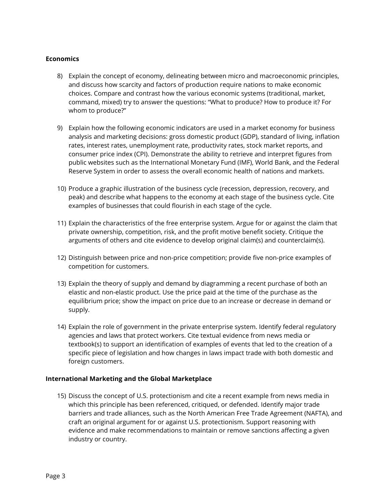#### **Economics**

- 8) Explain the concept of economy, delineating between micro and macroeconomic principles, and discuss how scarcity and factors of production require nations to make economic choices. Compare and contrast how the various economic systems (traditional, market, command, mixed) try to answer the questions: "What to produce? How to produce it? For whom to produce?"
- 9) Explain how the following economic indicators are used in a market economy for business analysis and marketing decisions: gross domestic product (GDP), standard of living, inflation rates, interest rates, unemployment rate, productivity rates, stock market reports, and consumer price index (CPI). Demonstrate the ability to retrieve and interpret figures from public websites such as the International Monetary Fund (IMF), World Bank, and the Federal Reserve System in order to assess the overall economic health of nations and markets.
- 10) Produce a graphic illustration of the business cycle (recession, depression, recovery, and peak) and describe what happens to the economy at each stage of the business cycle. Cite examples of businesses that could flourish in each stage of the cycle.
- 11) Explain the characteristics of the free enterprise system. Argue for or against the claim that private ownership, competition, risk, and the profit motive benefit society. Critique the arguments of others and cite evidence to develop original claim(s) and counterclaim(s).
- 12) Distinguish between price and non-price competition; provide five non-price examples of competition for customers.
- 13) Explain the theory of supply and demand by diagramming a recent purchase of both an elastic and non-elastic product. Use the price paid at the time of the purchase as the equilibrium price; show the impact on price due to an increase or decrease in demand or supply.
- 14) Explain the role of government in the private enterprise system. Identify federal regulatory agencies and laws that protect workers. Cite textual evidence from news media or textbook(s) to support an identification of examples of events that led to the creation of a specific piece of legislation and how changes in laws impact trade with both domestic and foreign customers.

#### **International Marketing and the Global Marketplace**

15) Discuss the concept of U.S. protectionism and cite a recent example from news media in which this principle has been referenced, critiqued, or defended. Identify major trade barriers and trade alliances, such as the North American Free Trade Agreement (NAFTA), and craft an original argument for or against U.S. protectionism. Support reasoning with evidence and make recommendations to maintain or remove sanctions affecting a given industry or country.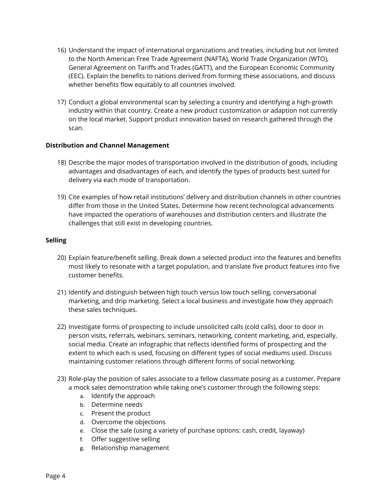- 16) Understand the impact of international organizations and treaties, including but not limited to the North American Free Trade Agreement (NAFTA), World Trade Organization (WTO), General Agreement on Tariffs and Trades (GATT), and the European Economic Community (EEC). Explain the benefits to nations derived from forming these associations, and discuss whether benefits flow equitably to all countries involved.
- 17) Conduct a global environmental scan by selecting a country and identifying a high-growth industry within that country. Create a new product customization or adaption not currently on the local market. Support product innovation based on research gathered through the scan.

## **Distribution and Channel Management**

- 18) Describe the major modes of transportation involved in the distribution of goods, including advantages and disadvantages of each, and identify the types of products best suited for delivery via each mode of transportation.
- 19) Cite examples of how retail institutions' delivery and distribution channels in other countries differ from those in the United States. Determine how recent technological advancements have impacted the operations of warehouses and distribution centers and illustrate the challenges that still exist in developing countries.

## **Selling**

- 20) Explain feature/benefit selling. Break down a selected product into the features and benefits most likely to resonate with a target population, and translate five product features into five customer benefits.
- 21) Identify and distinguish between high touch versus low touch selling, conversational marketing, and drip marketing. Select a local business and investigate how they approach these sales techniques.
- 22) Investigate forms of prospecting to include unsolicited calls (cold calls), door to door in person visits, referrals, webinars, seminars, networking, content marketing, and, especially, social media. Create an infographic that reflects identified forms of prospecting and the extent to which each is used, focusing on different types of social mediums used. Discuss maintaining customer relations through different forms of social networking.
- 23) Role-play the position of sales associate to a fellow classmate posing as a customer. Prepare a mock sales demonstration while taking one's customer through the following steps:
	- a. Identify the approach
	- b. Determine needs
	- c. Present the product
	- d. Overcome the objections
	- e. Close the sale (using a variety of purchase options: cash, credit, layaway)
	- f. Offer suggestive selling
	- g. Relationship management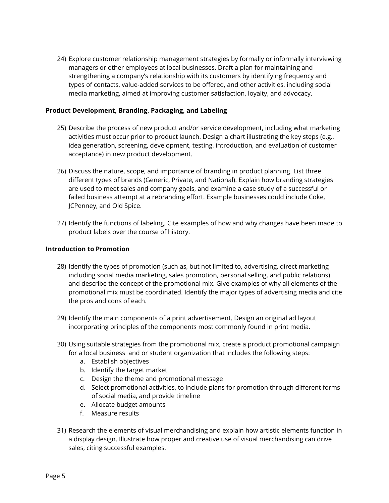24) Explore customer relationship management strategies by formally or informally interviewing managers or other employees at local businesses. Draft a plan for maintaining and strengthening a company's relationship with its customers by identifying frequency and types of contacts, value-added services to be offered, and other activities, including social media marketing, aimed at improving customer satisfaction, loyalty, and advocacy.

#### **Product Development, Branding, Packaging, and Labeling**

- 25) Describe the process of new product and/or service development, including what marketing activities must occur prior to product launch. Design a chart illustrating the key steps (e.g., idea generation, screening, development, testing, introduction, and evaluation of customer acceptance) in new product development.
- 26) Discuss the nature, scope, and importance of branding in product planning. List three different types of brands (Generic, Private, and National). Explain how branding strategies are used to meet sales and company goals, and examine a case study of a successful or failed business attempt at a rebranding effort. Example businesses could include Coke, JCPenney, and Old Spice.
- 27) Identify the functions of labeling. Cite examples of how and why changes have been made to product labels over the course of history.

#### **Introduction to Promotion**

- 28) Identify the types of promotion (such as, but not limited to, advertising, direct marketing including social media marketing, sales promotion, personal selling, and public relations) and describe the concept of the promotional mix. Give examples of why all elements of the promotional mix must be coordinated. Identify the major types of advertising media and cite the pros and cons of each.
- 29) Identify the main components of a print advertisement. Design an original ad layout incorporating principles of the components most commonly found in print media.
- 30) Using suitable strategies from the promotional mix, create a product promotional campaign for a local business and or student organization that includes the following steps:
	- a. Establish objectives
	- b. Identify the target market
	- c. Design the theme and promotional message
	- d. Select promotional activities, to include plans for promotion through different forms of social media, and provide timeline
	- e. Allocate budget amounts
	- f. Measure results
- 31) Research the elements of visual merchandising and explain how artistic elements function in a display design. Illustrate how proper and creative use of visual merchandising can drive sales, citing successful examples.